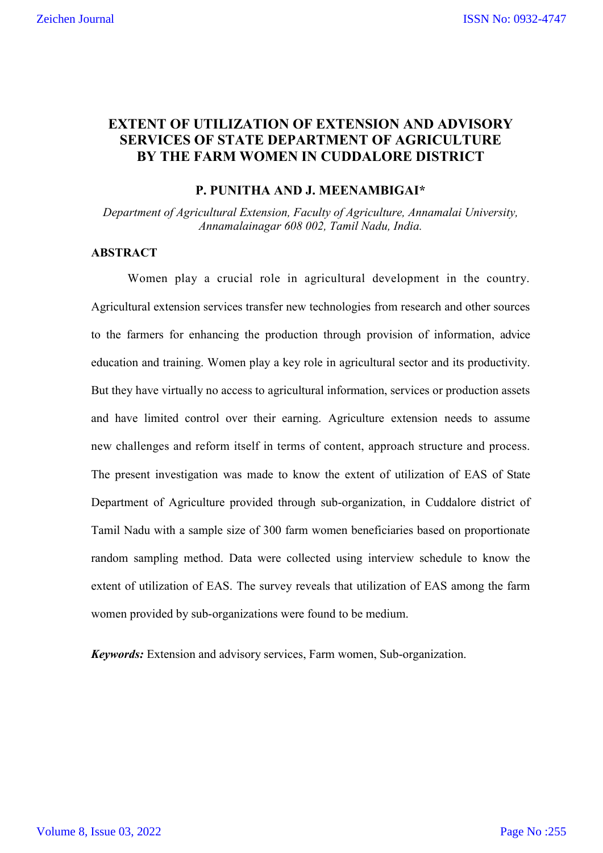# **EXTENT OF UTILIZATION OF EXTENSION AND ADVISORY SERVICES OF STATE DEPARTMENT OF AGRICULTURE BY THE FARM WOMEN IN CUDDALORE DISTRICT**

#### **P. PUNITHA AND J. MEENAMBIGAI\***

*Department of Agricultural Extension, Faculty of Agriculture, Annamalai University, Annamalainagar 608 002, Tamil Nadu, India.* 

### **ABSTRACT**

Women play a crucial role in agricultural development in the country. Agricultural extension services transfer new technologies from research and other sources to the farmers for enhancing the production through provision of information, advice education and training. Women play a key role in agricultural sector and its productivity. But they have virtually no access to agricultural information, services or production assets and have limited control over their earning. Agriculture extension needs to assume new challenges and reform itself in terms of content, approach structure and process. The present investigation was made to know the extent of utilization of EAS of State Department of Agriculture provided through sub-organization, in Cuddalore district of Tamil Nadu with a sample size of 300 farm women beneficiaries based on proportionate random sampling method. Data were collected using interview schedule to know the extent of utilization of EAS. The survey reveals that utilization of EAS among the farm women provided by sub-organizations were found to be medium.

*Keywords:* Extension and advisory services, Farm women, Sub-organization.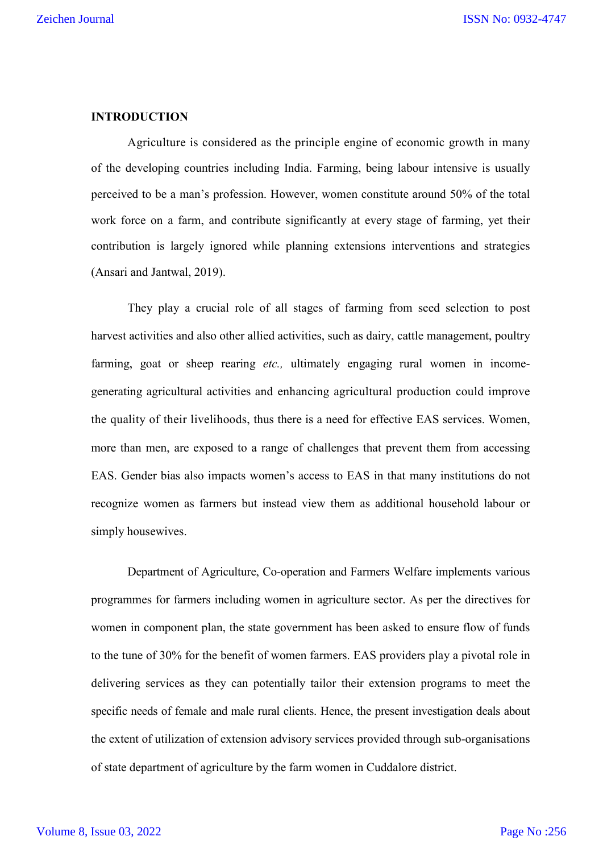## **INTRODUCTION**

Agriculture is considered as the principle engine of economic growth in many of the developing countries including India. Farming, being labour intensive is usually perceived to be a man's profession. However, women constitute around 50% of the total work force on a farm, and contribute significantly at every stage of farming, yet their contribution is largely ignored while planning extensions interventions and strategies (Ansari and Jantwal, 2019).

They play a crucial role of all stages of farming from seed selection to post harvest activities and also other allied activities, such as dairy, cattle management, poultry farming, goat or sheep rearing *etc.,* ultimately engaging rural women in incomegenerating agricultural activities and enhancing agricultural production could improve the quality of their livelihoods, thus there is a need for effective EAS services. Women, more than men, are exposed to a range of challenges that prevent them from accessing EAS. Gender bias also impacts women's access to EAS in that many institutions do not recognize women as farmers but instead view them as additional household labour or simply housewives.

Department of Agriculture, Co-operation and Farmers Welfare implements various programmes for farmers including women in agriculture sector. As per the directives for women in component plan, the state government has been asked to ensure flow of funds to the tune of 30% for the benefit of women farmers. EAS providers play a pivotal role in delivering services as they can potentially tailor their extension programs to meet the specific needs of female and male rural clients. Hence, the present investigation deals about the extent of utilization of extension advisory services provided through sub-organisations of state department of agriculture by the farm women in Cuddalore district.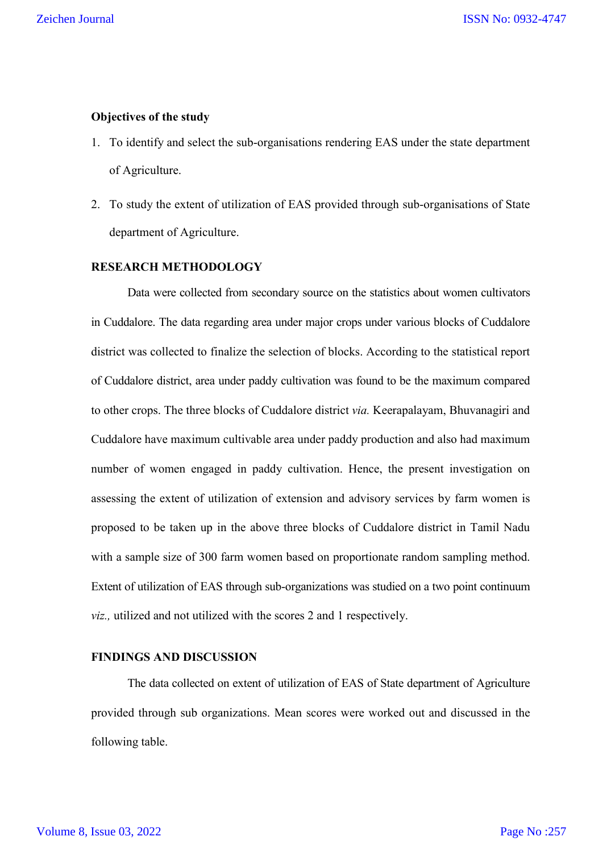## **Objectives of the study**

- 1. To identify and select the sub-organisations rendering EAS under the state department of Agriculture.
- 2. To study the extent of utilization of EAS provided through sub-organisations of State department of Agriculture.

### **RESEARCH METHODOLOGY**

Data were collected from secondary source on the statistics about women cultivators in Cuddalore. The data regarding area under major crops under various blocks of Cuddalore district was collected to finalize the selection of blocks. According to the statistical report of Cuddalore district, area under paddy cultivation was found to be the maximum compared to other crops. The three blocks of Cuddalore district *via.* Keerapalayam, Bhuvanagiri and Cuddalore have maximum cultivable area under paddy production and also had maximum number of women engaged in paddy cultivation. Hence, the present investigation on assessing the extent of utilization of extension and advisory services by farm women is proposed to be taken up in the above three blocks of Cuddalore district in Tamil Nadu with a sample size of 300 farm women based on proportionate random sampling method. Extent of utilization of EAS through sub-organizations was studied on a two point continuum *viz.,* utilized and not utilized with the scores 2 and 1 respectively.

#### **FINDINGS AND DISCUSSION**

The data collected on extent of utilization of EAS of State department of Agriculture provided through sub organizations. Mean scores were worked out and discussed in the following table.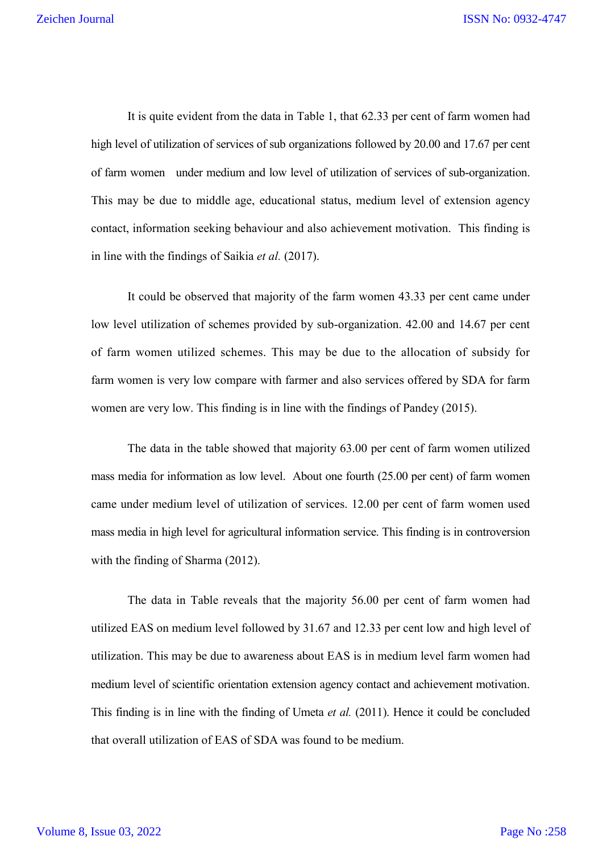It is quite evident from the data in Table 1, that 62.33 per cent of farm women had high level of utilization of services of sub organizations followed by 20.00 and 17.67 per cent of farm women under medium and low level of utilization of services of sub-organization. This may be due to middle age, educational status, medium level of extension agency contact, information seeking behaviour and also achievement motivation. This finding is in line with the findings of Saikia *et al.* (2017).

It could be observed that majority of the farm women 43.33 per cent came under low level utilization of schemes provided by sub-organization. 42.00 and 14.67 per cent of farm women utilized schemes. This may be due to the allocation of subsidy for farm women is very low compare with farmer and also services offered by SDA for farm women are very low. This finding is in line with the findings of Pandey (2015).

The data in the table showed that majority 63.00 per cent of farm women utilized mass media for information as low level. About one fourth (25.00 per cent) of farm women came under medium level of utilization of services. 12.00 per cent of farm women used mass media in high level for agricultural information service. This finding is in controversion with the finding of Sharma (2012).

The data in Table reveals that the majority 56.00 per cent of farm women had utilized EAS on medium level followed by 31.67 and 12.33 per cent low and high level of utilization. This may be due to awareness about EAS is in medium level farm women had medium level of scientific orientation extension agency contact and achievement motivation. This finding is in line with the finding of Umeta *et al.* (2011). Hence it could be concluded that overall utilization of EAS of SDA was found to be medium.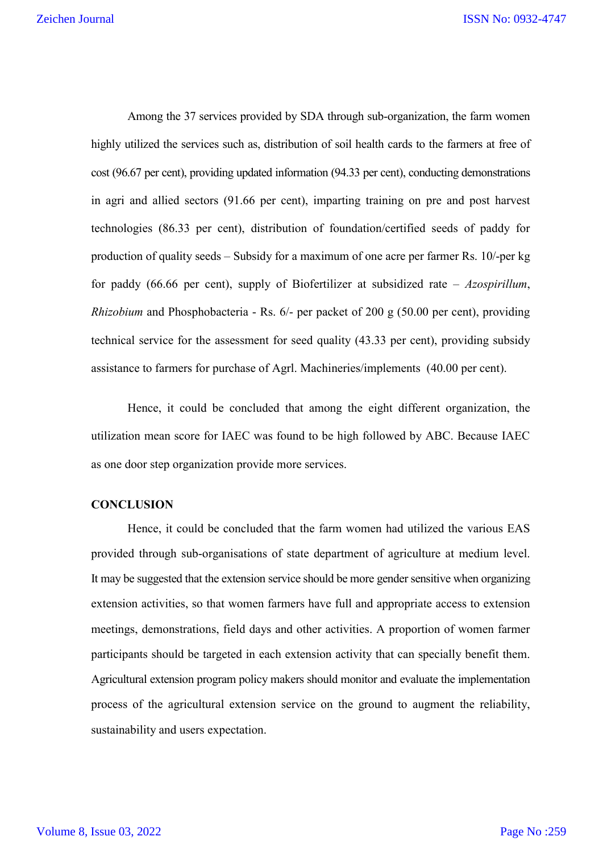Among the 37 services provided by SDA through sub-organization, the farm women highly utilized the services such as, distribution of soil health cards to the farmers at free of cost (96.67 per cent), providing updated information (94.33 per cent), conducting demonstrations in agri and allied sectors (91.66 per cent), imparting training on pre and post harvest technologies (86.33 per cent), distribution of foundation/certified seeds of paddy for production of quality seeds – Subsidy for a maximum of one acre per farmer Rs. 10/-per kg for paddy (66.66 per cent), supply of Biofertilizer at subsidized rate – *Azospirillum*, *Rhizobium* and Phosphobacteria - Rs. 6/- per packet of 200 g (50.00 per cent), providing technical service for the assessment for seed quality (43.33 per cent), providing subsidy assistance to farmers for purchase of Agrl. Machineries/implements (40.00 per cent).

Hence, it could be concluded that among the eight different organization, the utilization mean score for IAEC was found to be high followed by ABC. Because IAEC as one door step organization provide more services.

#### **CONCLUSION**

Hence, it could be concluded that the farm women had utilized the various EAS provided through sub-organisations of state department of agriculture at medium level. It may be suggested that the extension service should be more gender sensitive when organizing extension activities, so that women farmers have full and appropriate access to extension meetings, demonstrations, field days and other activities. A proportion of women farmer participants should be targeted in each extension activity that can specially benefit them. Agricultural extension program policy makers should monitor and evaluate the implementation process of the agricultural extension service on the ground to augment the reliability, sustainability and users expectation.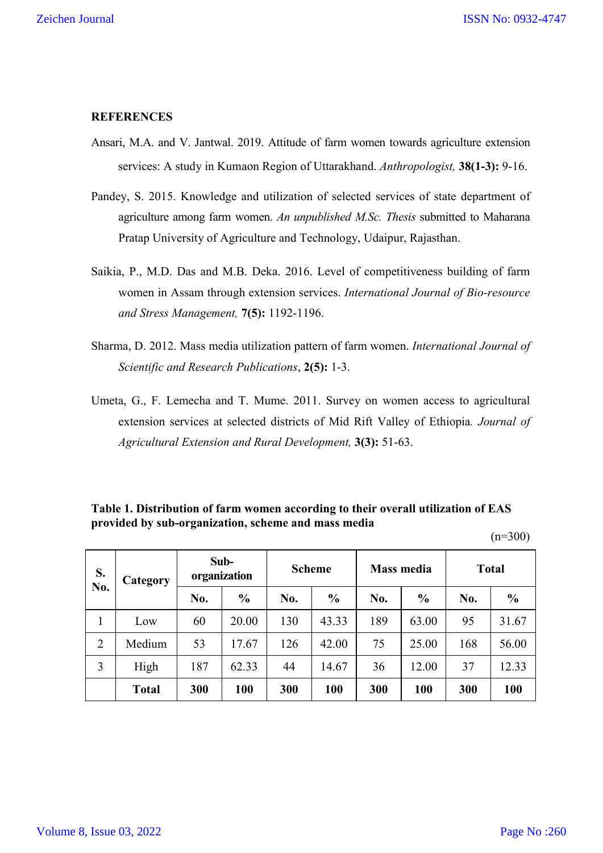## **REFERENCES**

- Ansari, M.A. and V. Jantwal. 2019. Attitude of farm women towards agriculture extension services: A study in Kumaon Region of Uttarakhand. *Anthropologist,* **38(1-3):** 9-16.
- Pandey, S. 2015. Knowledge and utilization of selected services of state department of agriculture among farm women. *An unpublished M.Sc. Thesis* submitted to Maharana Pratap University of Agriculture and Technology, Udaipur, Rajasthan.
- Saikia, P., M.D. Das and M.B. Deka. 2016. Level of competitiveness building of farm women in Assam through extension services. *International Journal of Bio-resource and Stress Management,* **7(5):** 1192-1196.
- Sharma, D. 2012. Mass media utilization pattern of farm women. *International Journal of Scientific and Research Publications*, **2(5):** 1-3.
- Umeta, G., F. Lemecha and T. Mume. 2011. Survey on women access to agricultural extension services at selected districts of Mid Rift Valley of Ethiopia*. Journal of Agricultural Extension and Rural Development,* **3(3):** 51-63.

## **Table 1. Distribution of farm women according to their overall utilization of EAS provided by sub-organization, scheme and mass media**

 $(n=300)$ 

| S.<br>No.      | Category     | Sub-<br>organization |               | <b>Scheme</b> |               | <b>Mass media</b> |               | <b>Total</b> |               |
|----------------|--------------|----------------------|---------------|---------------|---------------|-------------------|---------------|--------------|---------------|
|                |              | No.                  | $\frac{6}{6}$ | No.           | $\frac{6}{9}$ | No.               | $\frac{0}{0}$ | No.          | $\frac{0}{0}$ |
| 1              | Low          | 60                   | 20.00         | 130           | 43.33         | 189               | 63.00         | 95           | 31.67         |
| $\overline{2}$ | Medium       | 53                   | 17.67         | 126           | 42.00         | 75                | 25.00         | 168          | 56.00         |
| 3              | High         | 187                  | 62.33         | 44            | 14.67         | 36                | 12.00         | 37           | 12.33         |
|                | <b>Total</b> | 300                  | 100           | 300           | 100           | 300               | 100           | 300          | 100           |